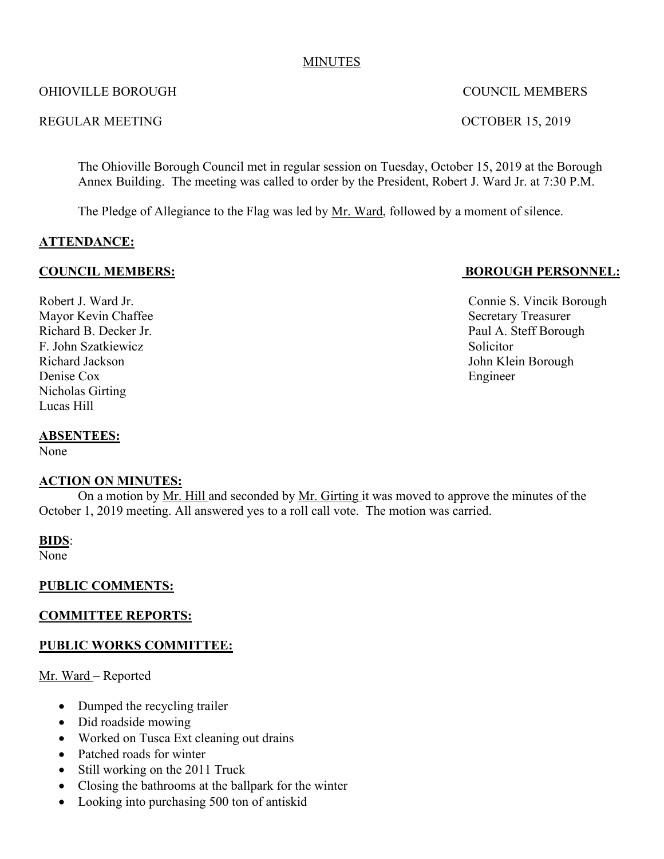#### MINUTES

#### OHIOVILLE BOROUGH COUNCIL MEMBERS

#### REGULAR MEETING CONTROLLAR MEETING

The Ohioville Borough Council met in regular session on Tuesday, October 15, 2019 at the Borough Annex Building. The meeting was called to order by the President, Robert J. Ward Jr. at 7:30 P.M.

The Pledge of Allegiance to the Flag was led by Mr. Ward, followed by a moment of silence.

## **ATTENDANCE:**

Mayor Kevin Chaffee Secretary Treasurer F. John Szatkiewicz Solicitor Richard Jackson John Klein Borough Denise Cox Engineer Nicholas Girting Lucas Hill

#### **ABSENTEES:**

None

### **ACTION ON MINUTES:**

On a motion by Mr. Hill and seconded by Mr. Girting it was moved to approve the minutes of the October 1, 2019 meeting. All answered yes to a roll call vote. The motion was carried.

### **BIDS**:

None<sup>1</sup>

### **PUBLIC COMMENTS:**

### **COMMITTEE REPORTS:**

### **PUBLIC WORKS COMMITTEE:**

#### Mr. Ward – Reported

- Dumped the recycling trailer
- Did roadside mowing
- Worked on Tusca Ext cleaning out drains
- Patched roads for winter
- Still working on the 2011 Truck
- Closing the bathrooms at the ballpark for the winter
- Looking into purchasing 500 ton of antiskid

**COUNCIL MEMBERS: BOROUGH PERSONNEL:**

Robert J. Ward Jr. **Connie S. Vincik Borough** Richard B. Decker Jr. **Paul A. Steff Borough**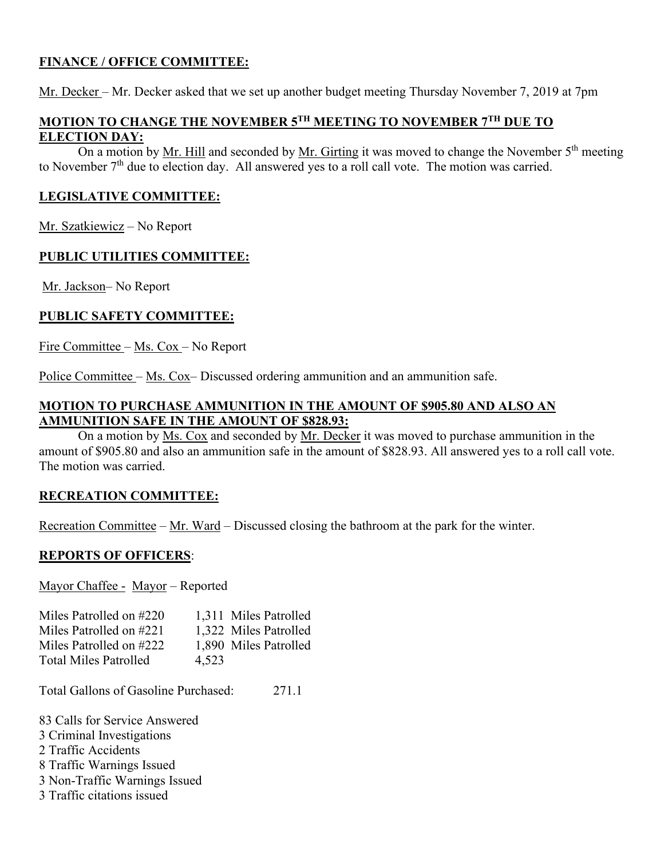# **FINANCE / OFFICE COMMITTEE:**

Mr. Decker – Mr. Decker asked that we set up another budget meeting Thursday November 7, 2019 at 7pm

### **MOTION TO CHANGE THE NOVEMBER 5TH MEETING TO NOVEMBER 7TH DUE TO ELECTION DAY:**

On a motion by Mr. Hill and seconded by Mr. Girting it was moved to change the November  $5<sup>th</sup>$  meeting to November 7<sup>th</sup> due to election day. All answered yes to a roll call vote. The motion was carried.

## **LEGISLATIVE COMMITTEE:**

Mr. Szatkiewicz – No Report

## **PUBLIC UTILITIES COMMITTEE:**

Mr. Jackson– No Report

## **PUBLIC SAFETY COMMITTEE:**

Fire Committee – Ms. Cox – No Report

Police Committee – Ms. Cox– Discussed ordering ammunition and an ammunition safe.

#### **MOTION TO PURCHASE AMMUNITION IN THE AMOUNT OF \$905.80 AND ALSO AN AMMUNITION SAFE IN THE AMOUNT OF \$828.93:**

On a motion by Ms. Cox and seconded by Mr. Decker it was moved to purchase ammunition in the amount of \$905.80 and also an ammunition safe in the amount of \$828.93. All answered yes to a roll call vote. The motion was carried.

### **RECREATION COMMITTEE:**

Recreation Committee – Mr. Ward – Discussed closing the bathroom at the park for the winter.

### **REPORTS OF OFFICERS**:

Mayor Chaffee - Mayor – Reported

| Miles Patrolled on #220      | 1,311 Miles Patrolled |
|------------------------------|-----------------------|
| Miles Patrolled on #221      | 1,322 Miles Patrolled |
| Miles Patrolled on #222      | 1,890 Miles Patrolled |
| <b>Total Miles Patrolled</b> | 4.523                 |

Total Gallons of Gasoline Purchased: 271.1

83 Calls for Service Answered

3 Criminal Investigations

2 Traffic Accidents

8 Traffic Warnings Issued

3 Non-Traffic Warnings Issued

3 Traffic citations issued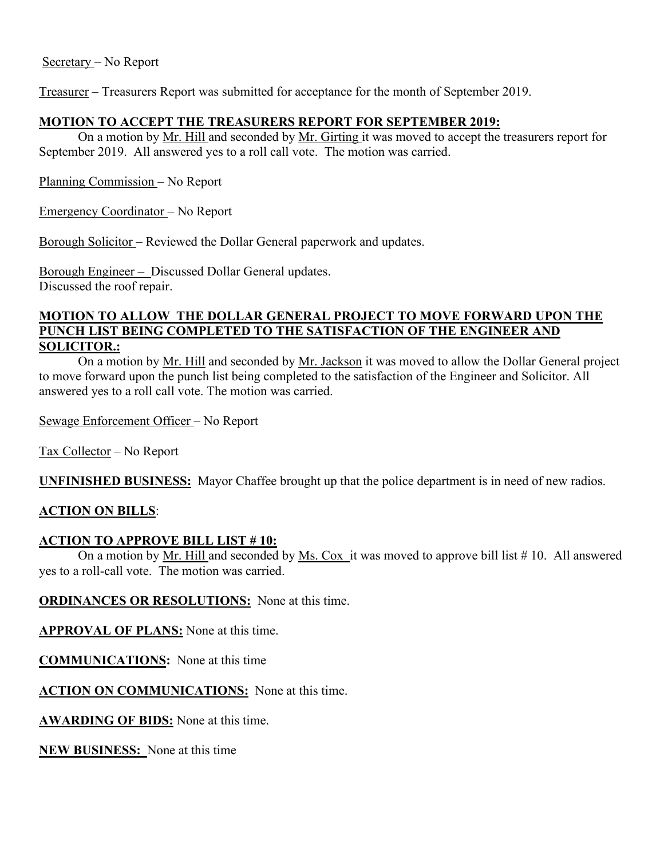Treasurer – Treasurers Report was submitted for acceptance for the month of September 2019.

# **MOTION TO ACCEPT THE TREASURERS REPORT FOR SEPTEMBER 2019:**

On a motion by Mr. Hill and seconded by Mr. Girting it was moved to accept the treasurers report for September 2019. All answered yes to a roll call vote. The motion was carried.

Planning Commission – No Report

Emergency Coordinator – No Report

Borough Solicitor – Reviewed the Dollar General paperwork and updates.

Borough Engineer – Discussed Dollar General updates. Discussed the roof repair.

#### **MOTION TO ALLOW THE DOLLAR GENERAL PROJECT TO MOVE FORWARD UPON THE PUNCH LIST BEING COMPLETED TO THE SATISFACTION OF THE ENGINEER AND SOLICITOR.:**

On a motion by Mr. Hill and seconded by Mr. Jackson it was moved to allow the Dollar General project to move forward upon the punch list being completed to the satisfaction of the Engineer and Solicitor. All answered yes to a roll call vote. The motion was carried.

Sewage Enforcement Officer – No Report

Tax Collector – No Report

**UNFINISHED BUSINESS:** Mayor Chaffee brought up that the police department is in need of new radios.

# **ACTION ON BILLS**:

# **ACTION TO APPROVE BILL LIST # 10:**

On a motion by Mr. Hill and seconded by Ms. Cox it was moved to approve bill list # 10. All answered yes to a roll-call vote. The motion was carried.

**ORDINANCES OR RESOLUTIONS:** None at this time.

**APPROVAL OF PLANS:** None at this time.

**COMMUNICATIONS:** None at this time

**ACTION ON COMMUNICATIONS:** None at this time.

**AWARDING OF BIDS:** None at this time.

**NEW BUSINESS:** None at this time